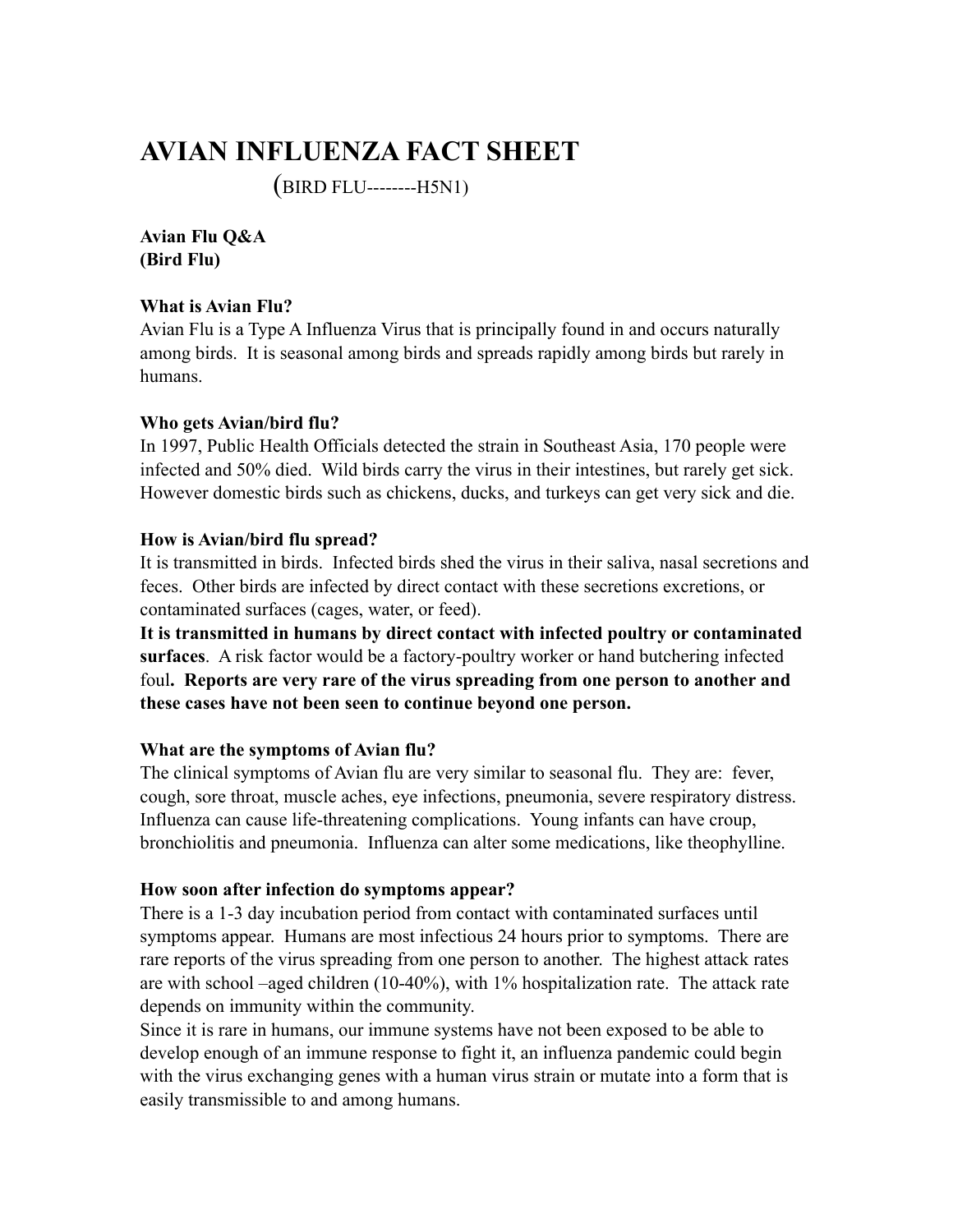# **AVIAN INFLUENZA FACT SHEET**

(BIRD FLU--------H5N1)

**Avian Flu Q&A (Bird Flu)**

### **What is Avian Flu?**

Avian Flu is a Type A Influenza Virus that is principally found in and occurs naturally among birds. It is seasonal among birds and spreads rapidly among birds but rarely in humans.

#### **Who gets Avian/bird flu?**

In 1997, Public Health Officials detected the strain in Southeast Asia, 170 people were infected and 50% died. Wild birds carry the virus in their intestines, but rarely get sick. However domestic birds such as chickens, ducks, and turkeys can get very sick and die.

#### **How is Avian/bird flu spread?**

It is transmitted in birds. Infected birds shed the virus in their saliva, nasal secretions and feces. Other birds are infected by direct contact with these secretions excretions, or contaminated surfaces (cages, water, or feed).

**It is transmitted in humans by direct contact with infected poultry or contaminated surfaces**. A risk factor would be a factory-poultry worker or hand butchering infected foul**. Reports are very rare of the virus spreading from one person to another and these cases have not been seen to continue beyond one person.**

## **What are the symptoms of Avian flu?**

The clinical symptoms of Avian flu are very similar to seasonal flu. They are: fever, cough, sore throat, muscle aches, eye infections, pneumonia, severe respiratory distress. Influenza can cause life-threatening complications. Young infants can have croup, bronchiolitis and pneumonia. Influenza can alter some medications, like theophylline.

## **How soon after infection do symptoms appear?**

There is a 1-3 day incubation period from contact with contaminated surfaces until symptoms appear. Humans are most infectious 24 hours prior to symptoms. There are rare reports of the virus spreading from one person to another. The highest attack rates are with school –aged children (10-40%), with 1% hospitalization rate. The attack rate depends on immunity within the community.

Since it is rare in humans, our immune systems have not been exposed to be able to develop enough of an immune response to fight it, an influenza pandemic could begin with the virus exchanging genes with a human virus strain or mutate into a form that is easily transmissible to and among humans.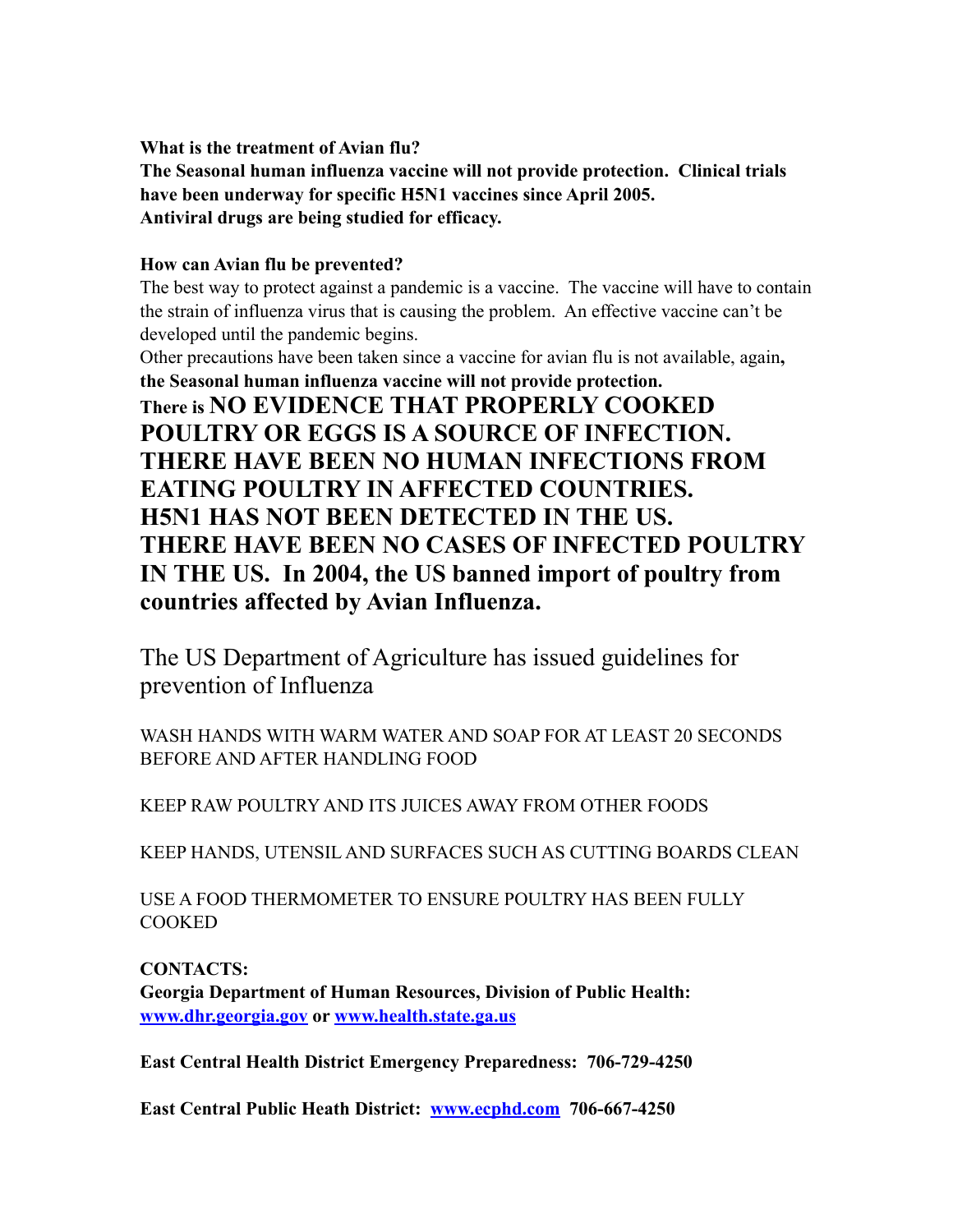**What is the treatment of Avian flu?** 

**The Seasonal human influenza vaccine will not provide protection. Clinical trials have been underway for specific H5N1 vaccines since April 2005. Antiviral drugs are being studied for efficacy.**

## **How can Avian flu be prevented?**

The best way to protect against a pandemic is a vaccine. The vaccine will have to contain the strain of influenza virus that is causing the problem. An effective vaccine can't be developed until the pandemic begins.

Other precautions have been taken since a vaccine for avian flu is not available, again**, the Seasonal human influenza vaccine will not provide protection.**

**There is NO EVIDENCE THAT PROPERLY COOKED POULTRY OR EGGS IS A SOURCE OF INFECTION. THERE HAVE BEEN NO HUMAN INFECTIONS FROM EATING POULTRY IN AFFECTED COUNTRIES. H5N1 HAS NOT BEEN DETECTED IN THE US. THERE HAVE BEEN NO CASES OF INFECTED POULTRY IN THE US. In 2004, the US banned import of poultry from countries affected by Avian Influenza.**

The US Department of Agriculture has issued guidelines for prevention of Influenza

WASH HANDS WITH WARM WATER AND SOAP FOR AT LEAST 20 SECONDS BEFORE AND AFTER HANDLING FOOD

KEEP RAW POULTRY AND ITS JUICES AWAY FROM OTHER FOODS

KEEP HANDS, UTENSIL AND SURFACES SUCH AS CUTTING BOARDS CLEAN

USE A FOOD THERMOMETER TO ENSURE POULTRY HAS BEEN FULLY COOKED

**CONTACTS: Georgia Department of Human Resources, Division of Public Health: [www.dhr.georgia.gov](http://www.dhr.georgia.gov) or [www.health.state.ga.us](http://www.health.state.ga.us)**

**East Central Health District Emergency Preparedness: 706-729-4250**

**East Central Public Heath District: [www.ecphd.com](http://www.ecphd.com) 706-667-4250**